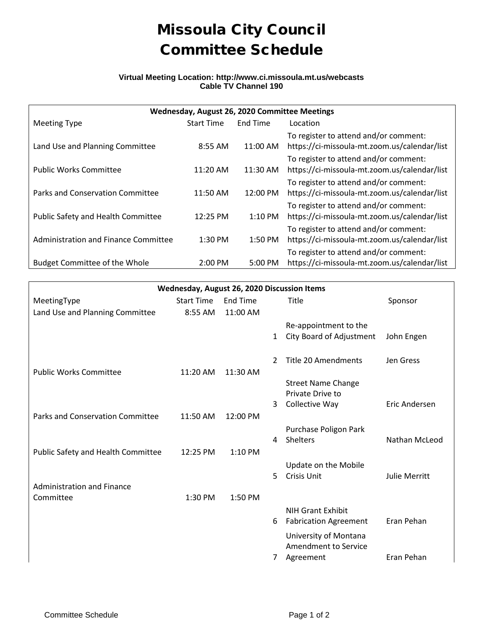## Missoula City Council Committee Schedule

## **Virtual Meeting Location: http://www.ci.missoula.mt.us/webcasts Cable TV Channel 190**

| Wednesday, August 26, 2020 Committee Meetings |                   |                   |                                                                                       |  |  |  |  |  |  |
|-----------------------------------------------|-------------------|-------------------|---------------------------------------------------------------------------------------|--|--|--|--|--|--|
| <b>Meeting Type</b>                           | Start Time        | End Time          | Location                                                                              |  |  |  |  |  |  |
| Land Use and Planning Committee               | $8:55$ AM         | 11:00 AM          | To register to attend and/or comment:<br>https://ci-missoula-mt.zoom.us/calendar/list |  |  |  |  |  |  |
| <b>Public Works Committee</b>                 | 11:20 AM          | $11:30$ AM        | To register to attend and/or comment:<br>https://ci-missoula-mt.zoom.us/calendar/list |  |  |  |  |  |  |
| Parks and Conservation Committee              | 11:50 AM          | 12:00 PM          | To register to attend and/or comment:<br>https://ci-missoula-mt.zoom.us/calendar/list |  |  |  |  |  |  |
| Public Safety and Health Committee            | 12:25 PM          | $1:10 \text{ PM}$ | To register to attend and/or comment:<br>https://ci-missoula-mt.zoom.us/calendar/list |  |  |  |  |  |  |
| Administration and Finance Committee          | $1:30$ PM         | $1:50$ PM         | To register to attend and/or comment:<br>https://ci-missoula-mt.zoom.us/calendar/list |  |  |  |  |  |  |
| <b>Budget Committee of the Whole</b>          | $2:00 \text{ PM}$ | $5:00$ PM         | To register to attend and/or comment:<br>https://ci-missoula-mt.zoom.us/calendar/list |  |  |  |  |  |  |

| Wednesday, August 26, 2020 Discussion Items |                   |                 |                |                                                      |                      |  |  |  |  |  |
|---------------------------------------------|-------------------|-----------------|----------------|------------------------------------------------------|----------------------|--|--|--|--|--|
| MeetingType                                 | <b>Start Time</b> | <b>End Time</b> |                | Title                                                | Sponsor              |  |  |  |  |  |
| Land Use and Planning Committee             | 8:55 AM           | 11:00 AM        |                |                                                      |                      |  |  |  |  |  |
|                                             |                   |                 |                | Re-appointment to the                                |                      |  |  |  |  |  |
|                                             |                   |                 | $\mathbf{1}$   | City Board of Adjustment                             | John Engen           |  |  |  |  |  |
|                                             |                   |                 |                |                                                      |                      |  |  |  |  |  |
|                                             |                   |                 | $\mathcal{P}$  | Title 20 Amendments                                  | Jen Gress            |  |  |  |  |  |
| <b>Public Works Committee</b>               | 11:20 AM          | 11:30 AM        |                |                                                      |                      |  |  |  |  |  |
|                                             |                   |                 |                | <b>Street Name Change</b>                            |                      |  |  |  |  |  |
|                                             |                   |                 |                | Private Drive to                                     |                      |  |  |  |  |  |
|                                             |                   |                 | 3              | Collective Way                                       | Eric Andersen        |  |  |  |  |  |
| <b>Parks and Conservation Committee</b>     | 11:50 AM          | 12:00 PM        |                |                                                      |                      |  |  |  |  |  |
|                                             |                   |                 |                | Purchase Poligon Park                                |                      |  |  |  |  |  |
|                                             |                   |                 | $\overline{4}$ | Shelters                                             | Nathan McLeod        |  |  |  |  |  |
| Public Safety and Health Committee          | 12:25 PM          | 1:10 PM         |                |                                                      |                      |  |  |  |  |  |
|                                             |                   |                 |                | Update on the Mobile                                 |                      |  |  |  |  |  |
|                                             |                   |                 | 5              | Crisis Unit                                          | <b>Julie Merritt</b> |  |  |  |  |  |
| <b>Administration and Finance</b>           |                   |                 |                |                                                      |                      |  |  |  |  |  |
| Committee                                   | 1:30 PM           | 1:50 PM         |                |                                                      |                      |  |  |  |  |  |
|                                             |                   |                 |                | <b>NIH Grant Exhibit</b>                             |                      |  |  |  |  |  |
|                                             |                   |                 | 6              | <b>Fabrication Agreement</b>                         | Eran Pehan           |  |  |  |  |  |
|                                             |                   |                 |                | University of Montana<br><b>Amendment to Service</b> |                      |  |  |  |  |  |
|                                             |                   |                 | 7              |                                                      | Eran Pehan           |  |  |  |  |  |
|                                             |                   |                 |                | Agreement                                            |                      |  |  |  |  |  |